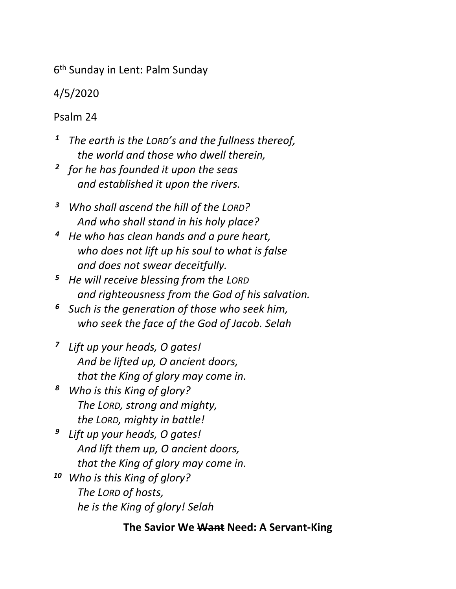6 th Sunday in Lent: Palm Sunday

4/5/2020

Psalm 24

- *<sup>1</sup> The earth is the LORD's and the fullness thereof, the world and those who dwell therein,*
- *2 for he has founded it upon the seas and established it upon the rivers.*
- *<sup>3</sup> Who shall ascend the hill of the LORD? And who shall stand in his holy place?*
- *<sup>4</sup> He who has clean hands and a pure heart, who does not lift up his soul to what is false and does not swear deceitfully.*
- *<sup>5</sup> He will receive blessing from the LORD and righteousness from the God of his salvation.*
- *<sup>6</sup> Such is the generation of those who seek him, who seek the face of the God of Jacob. Selah*
- *7 Lift up your heads, O gates! And be lifted up, O ancient doors, that the King of glory may come in.*
- *<sup>8</sup> Who is this King of glory? The LORD, strong and mighty, the LORD, mighty in battle!*
- *9 Lift up your heads, O gates! And lift them up, O ancient doors, that the King of glory may come in.*
- *<sup>10</sup> Who is this King of glory? The LORD of hosts, he is the King of glory! Selah*

## **The Savior We Want Need: A Servant-King**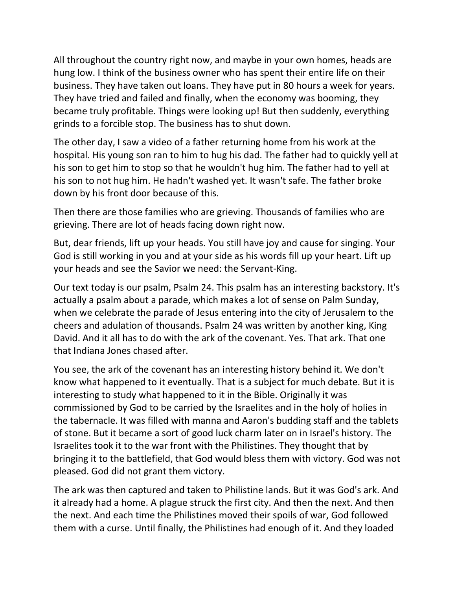All throughout the country right now, and maybe in your own homes, heads are hung low. I think of the business owner who has spent their entire life on their business. They have taken out loans. They have put in 80 hours a week for years. They have tried and failed and finally, when the economy was booming, they became truly profitable. Things were looking up! But then suddenly, everything grinds to a forcible stop. The business has to shut down.

The other day, I saw a video of a father returning home from his work at the hospital. His young son ran to him to hug his dad. The father had to quickly yell at his son to get him to stop so that he wouldn't hug him. The father had to yell at his son to not hug him. He hadn't washed yet. It wasn't safe. The father broke down by his front door because of this.

Then there are those families who are grieving. Thousands of families who are grieving. There are lot of heads facing down right now.

But, dear friends, lift up your heads. You still have joy and cause for singing. Your God is still working in you and at your side as his words fill up your heart. Lift up your heads and see the Savior we need: the Servant-King.

Our text today is our psalm, Psalm 24. This psalm has an interesting backstory. It's actually a psalm about a parade, which makes a lot of sense on Palm Sunday, when we celebrate the parade of Jesus entering into the city of Jerusalem to the cheers and adulation of thousands. Psalm 24 was written by another king, King David. And it all has to do with the ark of the covenant. Yes. That ark. That one that Indiana Jones chased after.

You see, the ark of the covenant has an interesting history behind it. We don't know what happened to it eventually. That is a subject for much debate. But it is interesting to study what happened to it in the Bible. Originally it was commissioned by God to be carried by the Israelites and in the holy of holies in the tabernacle. It was filled with manna and Aaron's budding staff and the tablets of stone. But it became a sort of good luck charm later on in Israel's history. The Israelites took it to the war front with the Philistines. They thought that by bringing it to the battlefield, that God would bless them with victory. God was not pleased. God did not grant them victory.

The ark was then captured and taken to Philistine lands. But it was God's ark. And it already had a home. A plague struck the first city. And then the next. And then the next. And each time the Philistines moved their spoils of war, God followed them with a curse. Until finally, the Philistines had enough of it. And they loaded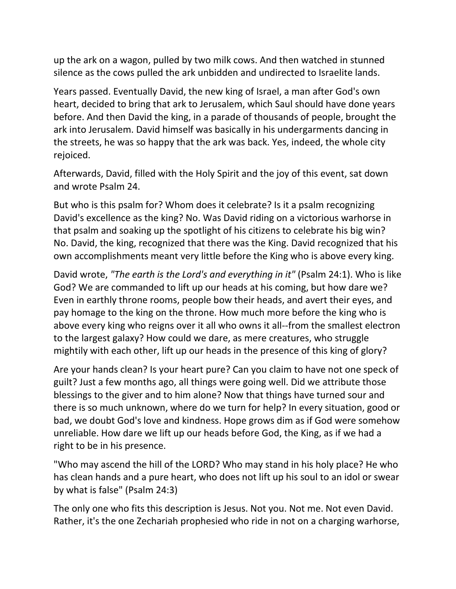up the ark on a wagon, pulled by two milk cows. And then watched in stunned silence as the cows pulled the ark unbidden and undirected to Israelite lands.

Years passed. Eventually David, the new king of Israel, a man after God's own heart, decided to bring that ark to Jerusalem, which Saul should have done years before. And then David the king, in a parade of thousands of people, brought the ark into Jerusalem. David himself was basically in his undergarments dancing in the streets, he was so happy that the ark was back. Yes, indeed, the whole city rejoiced.

Afterwards, David, filled with the Holy Spirit and the joy of this event, sat down and wrote Psalm 24.

But who is this psalm for? Whom does it celebrate? Is it a psalm recognizing David's excellence as the king? No. Was David riding on a victorious warhorse in that psalm and soaking up the spotlight of his citizens to celebrate his big win? No. David, the king, recognized that there was the King. David recognized that his own accomplishments meant very little before the King who is above every king.

David wrote, *"The earth is the Lord's and everything in it"* (Psalm 24:1). Who is like God? We are commanded to lift up our heads at his coming, but how dare we? Even in earthly throne rooms, people bow their heads, and avert their eyes, and pay homage to the king on the throne. How much more before the king who is above every king who reigns over it all who owns it all--from the smallest electron to the largest galaxy? How could we dare, as mere creatures, who struggle mightily with each other, lift up our heads in the presence of this king of glory?

Are your hands clean? Is your heart pure? Can you claim to have not one speck of guilt? Just a few months ago, all things were going well. Did we attribute those blessings to the giver and to him alone? Now that things have turned sour and there is so much unknown, where do we turn for help? In every situation, good or bad, we doubt God's love and kindness. Hope grows dim as if God were somehow unreliable. How dare we lift up our heads before God, the King, as if we had a right to be in his presence.

"Who may ascend the hill of the LORD? Who may stand in his holy place? He who has clean hands and a pure heart, who does not lift up his soul to an idol or swear by what is false" (Psalm 24:3)

The only one who fits this description is Jesus. Not you. Not me. Not even David. Rather, it's the one Zechariah prophesied who ride in not on a charging warhorse,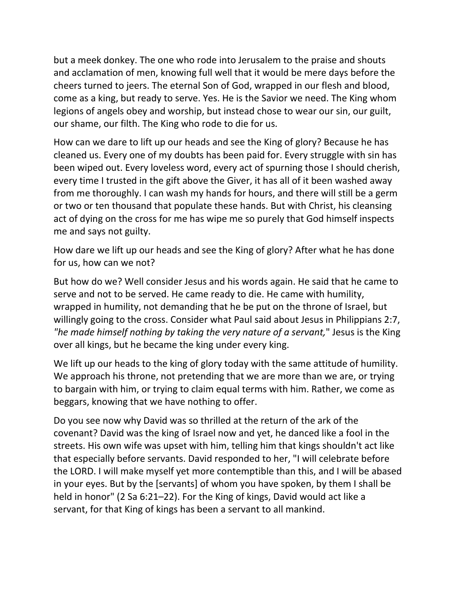but a meek donkey. The one who rode into Jerusalem to the praise and shouts and acclamation of men, knowing full well that it would be mere days before the cheers turned to jeers. The eternal Son of God, wrapped in our flesh and blood, come as a king, but ready to serve. Yes. He is the Savior we need. The King whom legions of angels obey and worship, but instead chose to wear our sin, our guilt, our shame, our filth. The King who rode to die for us.

How can we dare to lift up our heads and see the King of glory? Because he has cleaned us. Every one of my doubts has been paid for. Every struggle with sin has been wiped out. Every loveless word, every act of spurning those I should cherish, every time I trusted in the gift above the Giver, it has all of it been washed away from me thoroughly. I can wash my hands for hours, and there will still be a germ or two or ten thousand that populate these hands. But with Christ, his cleansing act of dying on the cross for me has wipe me so purely that God himself inspects me and says not guilty.

How dare we lift up our heads and see the King of glory? After what he has done for us, how can we not?

But how do we? Well consider Jesus and his words again. He said that he came to serve and not to be served. He came ready to die. He came with humility, wrapped in humility, not demanding that he be put on the throne of Israel, but willingly going to the cross. Consider what Paul said about Jesus in Philippians 2:7, *"he made himself nothing by taking the very nature of a servant,*" Jesus is the King over all kings, but he became the king under every king.

We lift up our heads to the king of glory today with the same attitude of humility. We approach his throne, not pretending that we are more than we are, or trying to bargain with him, or trying to claim equal terms with him. Rather, we come as beggars, knowing that we have nothing to offer.

Do you see now why David was so thrilled at the return of the ark of the covenant? David was the king of Israel now and yet, he danced like a fool in the streets. His own wife was upset with him, telling him that kings shouldn't act like that especially before servants. David responded to her, "I will celebrate before the LORD. I will make myself yet more contemptible than this, and I will be abased in your eyes. But by the [servants] of whom you have spoken, by them I shall be held in honor" (2 Sa 6:21–22). For the King of kings, David would act like a servant, for that King of kings has been a servant to all mankind.